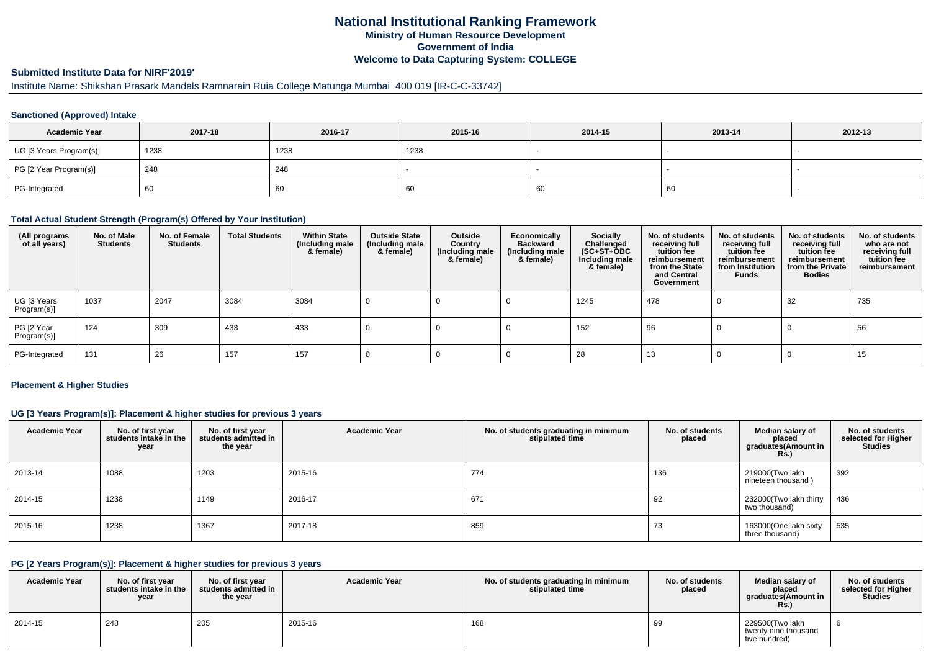# **National Institutional Ranking FrameworkMinistry of Human Resource DevelopmentGovernment of IndiaWelcome to Data Capturing System: COLLEGE**

# **Submitted Institute Data for NIRF'2019'**

# Institute Name: Shikshan Prasark Mandals Ramnarain Ruia College Matunga Mumbai 400 019 [IR-C-C-33742]

## **Sanctioned (Approved) Intake**

| <b>Academic Year</b>    | 2017-18 | 2016-17 | 2015-16 | 2014-15 | 2013-14 | 2012-13 |
|-------------------------|---------|---------|---------|---------|---------|---------|
| UG [3 Years Program(s)] | 1238    | 1238    | 1238    |         |         |         |
| PG [2 Year Program(s)]  | 248     | 248     |         |         |         |         |
| PG-Integrated           | 60      | 60      | 60      | 60      | 60      |         |

#### **Total Actual Student Strength (Program(s) Offered by Your Institution)**

| (All programs<br>of all years) | No. of Male<br><b>Students</b> | No. of Female<br><b>Students</b> | <b>Total Students</b> | <b>Within State</b><br>(Including male<br>& female) | <b>Outside State</b><br>(Including male<br>& female) | Outside<br>Country<br>(Including male<br>& female) | Economically<br><b>Backward</b><br>(Including male<br>& female) | <b>Socially</b><br>Challenged<br>$(SC+ST+OBC)$<br>Including male<br>& female) | No. of students<br>receiving full<br>tuition fee<br>reimbursement<br>from the State<br>and Central<br>Government | No. of students<br>receiving full<br>tuition fee<br>reimbursement<br>from Institution<br><b>Funds</b> | No. of students<br>receiving full<br>tuition fee<br>reimbursement<br>from the Private<br><b>Bodies</b> | No. of students<br>who are not<br>receiving full<br>tuition fee<br>reimbursement |
|--------------------------------|--------------------------------|----------------------------------|-----------------------|-----------------------------------------------------|------------------------------------------------------|----------------------------------------------------|-----------------------------------------------------------------|-------------------------------------------------------------------------------|------------------------------------------------------------------------------------------------------------------|-------------------------------------------------------------------------------------------------------|--------------------------------------------------------------------------------------------------------|----------------------------------------------------------------------------------|
| UG [3 Years<br>Program(s)]     | 1037                           | 2047                             | 3084                  | 3084                                                |                                                      |                                                    |                                                                 | 1245                                                                          | 478                                                                                                              |                                                                                                       | 32                                                                                                     | 735                                                                              |
| PG [2 Year<br>Program(s)]      | 124                            | 309                              | 433                   | 433                                                 |                                                      |                                                    |                                                                 | 152                                                                           | 96                                                                                                               |                                                                                                       |                                                                                                        | 56                                                                               |
| PG-Integrated                  | 131                            | 26                               | 157                   | 157                                                 |                                                      |                                                    |                                                                 | 28                                                                            | 13                                                                                                               |                                                                                                       |                                                                                                        | 15                                                                               |

#### **Placement & Higher Studies**

## **UG [3 Years Program(s)]: Placement & higher studies for previous 3 years**

| <b>Academic Year</b> | No. of first year<br>students intake in the<br>year | No. of first year<br>students admitted in<br>the year | <b>Academic Year</b> | No. of students graduating in minimum<br>stipulated time | No. of students<br>placed | Median salary of<br>placed<br>graduates(Amount in<br><b>Rs.)</b> | No. of students<br>selected for Higher<br><b>Studies</b> |
|----------------------|-----------------------------------------------------|-------------------------------------------------------|----------------------|----------------------------------------------------------|---------------------------|------------------------------------------------------------------|----------------------------------------------------------|
| 2013-14              | 1088                                                | 1203                                                  | 2015-16              | 774                                                      | 136                       | 219000(Two lakh<br>nineteen thousand)                            | 392                                                      |
| 2014-15              | 1238                                                | 1149                                                  | 2016-17              | 671                                                      | 92                        | 232000(Two lakh thirty<br>two thousand)                          | 436                                                      |
| 2015-16              | 1238                                                | 1367                                                  | 2017-18              | 859                                                      | 73                        | 163000(One lakh sixty<br>three thousand)                         | 535                                                      |

## **PG [2 Years Program(s)]: Placement & higher studies for previous 3 years**

| <b>Academic Year</b> | No. of first year<br>students intake in the I<br>year | No. of first vear<br>students admitted in<br>the year | <b>Academic Year</b> | No. of students graduating in minimum<br>stipulated time | No. of students<br>placed | Median salary of<br>placed<br>araduates(Amount in<br>Rs. | No. of students<br>selected for Higher<br><b>Studies</b> |
|----------------------|-------------------------------------------------------|-------------------------------------------------------|----------------------|----------------------------------------------------------|---------------------------|----------------------------------------------------------|----------------------------------------------------------|
| 2014-15              | 248                                                   | 205                                                   | 2015-16              | 168                                                      |                           | 229500(Two lakh<br>twenty nine thousand<br>five hundred) |                                                          |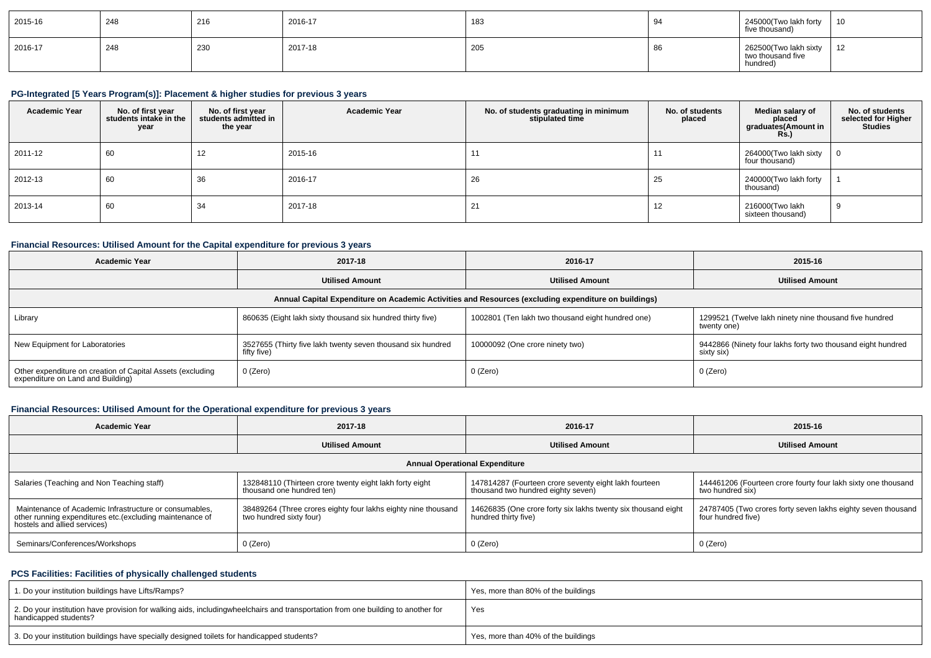| 2015-16 | 248 | 216 | 2016-17 | 183 | ч.    | 245000(Two lakh forty<br>five thousand)                | 10                   |
|---------|-----|-----|---------|-----|-------|--------------------------------------------------------|----------------------|
| 2016-17 | 248 | 230 | 2017-18 | 205 | я<br> | 262500(Two lakh sixty<br>two thousand five<br>hundred) | $\overline{a}$<br>12 |

## **PG-Integrated [5 Years Program(s)]: Placement & higher studies for previous 3 years**

| <b>Academic Year</b> | No. of first year<br>students intake in the<br>year | No. of first year<br>students admitted in<br>the year | <b>Academic Year</b> | No. of students graduating in minimum<br>stipulated time | No. of students<br>placed | Median salary of<br>placed<br>graduates(Amount in<br><b>Rs.</b> ) | No. of students<br>selected for Higher<br><b>Studies</b> |
|----------------------|-----------------------------------------------------|-------------------------------------------------------|----------------------|----------------------------------------------------------|---------------------------|-------------------------------------------------------------------|----------------------------------------------------------|
| 2011-12              | 60                                                  | 14                                                    | 2015-16              | 11                                                       |                           | 264000(Two lakh sixty<br>four thousand)                           | $\overline{0}$                                           |
| 2012-13              | 60                                                  | 36                                                    | 2016-17              | 26                                                       | 25                        | 240000(Two lakh forty<br>thousand)                                |                                                          |
| 2013-14              | 60                                                  | 34                                                    | 2017-18              | 21                                                       | 12                        | 216000(Two lakh<br>sixteen thousand)                              | 9                                                        |

## **Financial Resources: Utilised Amount for the Capital expenditure for previous 3 years**

| <b>Academic Year</b>                                                                                 | 2017-18                                                                    | 2016-17                                           | 2015-16                                                                   |  |  |  |  |  |  |  |
|------------------------------------------------------------------------------------------------------|----------------------------------------------------------------------------|---------------------------------------------------|---------------------------------------------------------------------------|--|--|--|--|--|--|--|
|                                                                                                      | <b>Utilised Amount</b>                                                     | <b>Utilised Amount</b>                            | <b>Utilised Amount</b>                                                    |  |  |  |  |  |  |  |
| Annual Capital Expenditure on Academic Activities and Resources (excluding expenditure on buildings) |                                                                            |                                                   |                                                                           |  |  |  |  |  |  |  |
| Library                                                                                              | 860635 (Eight lakh sixty thousand six hundred thirty five)                 | 1002801 (Ten lakh two thousand eight hundred one) | 1299521 (Twelve lakh ninety nine thousand five hundred<br>twenty one)     |  |  |  |  |  |  |  |
| New Equipment for Laboratories                                                                       | 3527655 (Thirty five lakh twenty seven thousand six hundred<br>fifty five) | 10000092 (One crore ninety two)                   | 9442866 (Ninety four lakhs forty two thousand eight hundred<br>sixty six) |  |  |  |  |  |  |  |
| Other expenditure on creation of Capital Assets (excluding<br>expenditure on Land and Building)      | 0 (Zero)                                                                   | 0 (Zero)                                          | 0 (Zero)                                                                  |  |  |  |  |  |  |  |

## **Financial Resources: Utilised Amount for the Operational expenditure for previous 3 years**

| Academic Year                                                                                                                                       | 2017-18                                                                                  | 2016-17                                                                                     | 2015-16                                                                            |  |  |  |  |  |  |  |
|-----------------------------------------------------------------------------------------------------------------------------------------------------|------------------------------------------------------------------------------------------|---------------------------------------------------------------------------------------------|------------------------------------------------------------------------------------|--|--|--|--|--|--|--|
|                                                                                                                                                     | <b>Utilised Amount</b>                                                                   | <b>Utilised Amount</b>                                                                      | <b>Utilised Amount</b>                                                             |  |  |  |  |  |  |  |
| <b>Annual Operational Expenditure</b>                                                                                                               |                                                                                          |                                                                                             |                                                                                    |  |  |  |  |  |  |  |
| Salaries (Teaching and Non Teaching staff)                                                                                                          | 132848110 (Thirteen crore twenty eight lakh forty eight<br>thousand one hundred ten)     | 147814287 (Fourteen crore seventy eight lakh fourteen<br>thousand two hundred eighty seven) | 144461206 (Fourteen crore fourty four lakh sixty one thousand<br>two hundred six)  |  |  |  |  |  |  |  |
| Maintenance of Academic Infrastructure or consumables,<br>other running expenditures etc. (excluding maintenance of<br>hostels and allied services) | 38489264 (Three crores eighty four lakhs eighty nine thousand<br>two hundred sixty four) | 14626835 (One crore forty six lakhs twenty six thousand eight<br>hundred thirty five)       | 24787405 (Two crores forty seven lakhs eighty seven thousand<br>four hundred five) |  |  |  |  |  |  |  |
| Seminars/Conferences/Workshops                                                                                                                      | 0 (Zero)                                                                                 | $0$ (Zero)                                                                                  | 0 (Zero)                                                                           |  |  |  |  |  |  |  |

## **PCS Facilities: Facilities of physically challenged students**

| 1. Do your institution buildings have Lifts/Ramps?                                                                                                        | Yes, more than 80% of the buildings |
|-----------------------------------------------------------------------------------------------------------------------------------------------------------|-------------------------------------|
| 2. Do your institution have provision for walking aids, includingwheelchairs and transportation from one building to another for<br>handicapped students? | Yes                                 |
| 3. Do your institution buildings have specially designed toilets for handicapped students?                                                                | Yes, more than 40% of the buildings |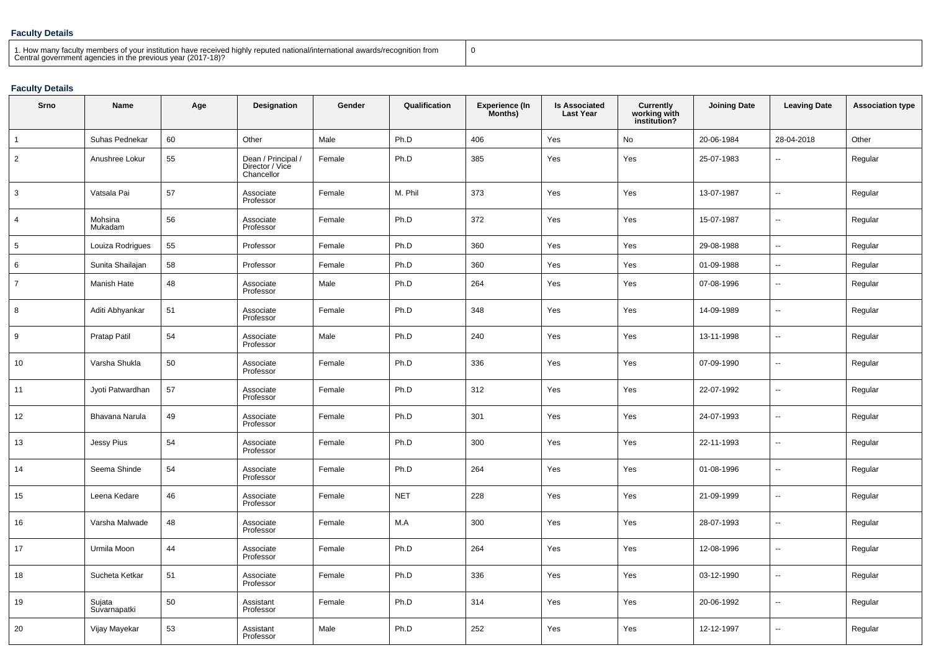## **Faculty Details**

| 1. How many faculty members of your institution have received highly reputed national/international awards/recognition from<br>Central government agencies in the previous year (2017-18)? |  |
|--------------------------------------------------------------------------------------------------------------------------------------------------------------------------------------------|--|
|--------------------------------------------------------------------------------------------------------------------------------------------------------------------------------------------|--|

# **Faculty Details**

| Srno           | Name                   | Age | <b>Designation</b>                                  | Gender | Qualification | <b>Experience (In</b><br>Months) | <b>Is Associated</b><br><b>Last Year</b> | Currently<br>working with<br>institution? | <b>Joining Date</b> | <b>Leaving Date</b>      | <b>Association type</b> |
|----------------|------------------------|-----|-----------------------------------------------------|--------|---------------|----------------------------------|------------------------------------------|-------------------------------------------|---------------------|--------------------------|-------------------------|
| 1              | Suhas Pednekar         | 60  | Other                                               | Male   | Ph.D          | 406                              | Yes                                      | No                                        | 20-06-1984          | 28-04-2018               | Other                   |
| $\overline{2}$ | Anushree Lokur         | 55  | Dean / Principal /<br>Director / Vice<br>Chancellor | Female | Ph.D          | 385                              | Yes                                      | Yes                                       | 25-07-1983          | $\overline{\phantom{a}}$ | Regular                 |
| 3              | Vatsala Pai            | 57  | Associate<br>Professor                              | Female | M. Phil       | 373                              | Yes                                      | Yes                                       | 13-07-1987          | ۰.                       | Regular                 |
| $\overline{4}$ | Mohsina<br>Mukadam     | 56  | Associate<br>Professor                              | Female | Ph.D          | 372                              | Yes                                      | Yes                                       | 15-07-1987          | $\ddotsc$                | Regular                 |
| 5              | Louiza Rodrigues       | 55  | Professor                                           | Female | Ph.D          | 360                              | Yes                                      | Yes                                       | 29-08-1988          | $\sim$                   | Regular                 |
| 6              | Sunita Shailajan       | 58  | Professor                                           | Female | Ph.D          | 360                              | Yes                                      | Yes                                       | 01-09-1988          | $\mathbf{u}$             | Regular                 |
| $\overline{7}$ | Manish Hate            | 48  | Associate<br>Professor                              | Male   | Ph.D          | 264                              | Yes                                      | Yes                                       | 07-08-1996          | $\overline{\phantom{a}}$ | Regular                 |
| 8              | Aditi Abhyankar        | 51  | Associate<br>Professor                              | Female | Ph.D          | 348                              | Yes                                      | Yes                                       | 14-09-1989          | $\ddotsc$                | Regular                 |
| 9              | Pratap Patil           | 54  | Associate<br>Professor                              | Male   | Ph.D          | 240                              | Yes                                      | Yes                                       | 13-11-1998          | $\overline{\phantom{a}}$ | Regular                 |
| 10             | Varsha Shukla          | 50  | Associate<br>Professor                              | Female | Ph.D          | 336                              | Yes                                      | Yes                                       | 07-09-1990          | $\sim$                   | Regular                 |
| 11             | Jyoti Patwardhan       | 57  | Associate<br>Professor                              | Female | Ph.D          | 312                              | Yes                                      | Yes                                       | 22-07-1992          | $\overline{\phantom{a}}$ | Regular                 |
| 12             | Bhavana Narula         | 49  | Associate<br>Professor                              | Female | Ph.D          | 301                              | Yes                                      | Yes                                       | 24-07-1993          | $\overline{\phantom{a}}$ | Regular                 |
| 13             | Jessy Pius             | 54  | Associate<br>Professor                              | Female | Ph.D          | 300                              | Yes                                      | Yes                                       | 22-11-1993          | $\overline{\phantom{a}}$ | Regular                 |
| 14             | Seema Shinde           | 54  | Associate<br>Professor                              | Female | Ph.D          | 264                              | Yes                                      | Yes                                       | 01-08-1996          | $\ddotsc$                | Regular                 |
| 15             | Leena Kedare           | 46  | Associate<br>Professor                              | Female | <b>NET</b>    | 228                              | Yes                                      | Yes                                       | 21-09-1999          | $\sim$                   | Regular                 |
| 16             | Varsha Malwade         | 48  | Associate<br>Professor                              | Female | M.A           | 300                              | Yes                                      | Yes                                       | 28-07-1993          | $\overline{\phantom{a}}$ | Regular                 |
| 17             | Urmila Moon            | 44  | Associate<br>Professor                              | Female | Ph.D          | 264                              | Yes                                      | Yes                                       | 12-08-1996          | $\sim$                   | Regular                 |
| 18             | Sucheta Ketkar         | 51  | Associate<br>Professor                              | Female | Ph.D          | 336                              | Yes                                      | Yes                                       | 03-12-1990          | $\ddotsc$                | Regular                 |
| 19             | Sujata<br>Suvarnapatki | 50  | Assistant<br>Professor                              | Female | Ph.D          | 314                              | Yes                                      | Yes                                       | 20-06-1992          | $\overline{\phantom{a}}$ | Regular                 |
| 20             | Vijay Mayekar          | 53  | Assistant<br>Professor                              | Male   | Ph.D          | 252                              | Yes                                      | Yes                                       | 12-12-1997          | $\overline{\phantom{a}}$ | Regular                 |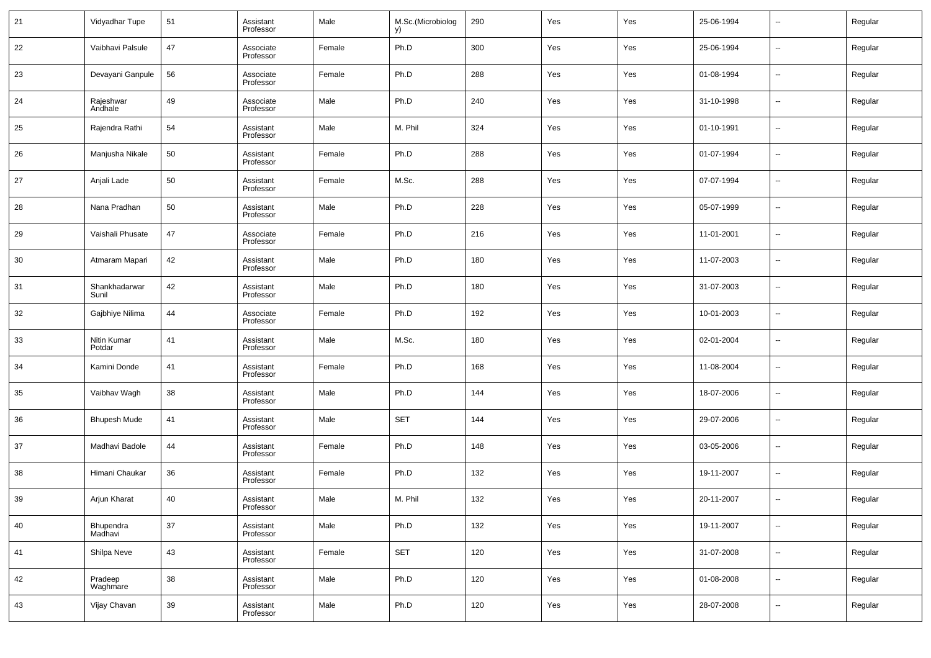| 21 | Vidyadhar Tupe         | 51     | Assistant<br>Professor | Male   | M.Sc.(Microbiolog<br>y) | 290 | Yes | Yes | 25-06-1994 | $\overline{\phantom{a}}$ | Regular |
|----|------------------------|--------|------------------------|--------|-------------------------|-----|-----|-----|------------|--------------------------|---------|
| 22 | Vaibhavi Palsule       | 47     | Associate<br>Professor | Female | Ph.D                    | 300 | Yes | Yes | 25-06-1994 | $\overline{\phantom{a}}$ | Regular |
| 23 | Devayani Ganpule       | 56     | Associate<br>Professor | Female | Ph.D                    | 288 | Yes | Yes | 01-08-1994 | $\overline{\phantom{a}}$ | Regular |
| 24 | Rajeshwar<br>Andhale   | 49     | Associate<br>Professor | Male   | Ph.D                    | 240 | Yes | Yes | 31-10-1998 | $\overline{\phantom{a}}$ | Regular |
| 25 | Rajendra Rathi         | 54     | Assistant<br>Professor | Male   | M. Phil                 | 324 | Yes | Yes | 01-10-1991 | $\overline{\phantom{a}}$ | Regular |
| 26 | Manjusha Nikale        | 50     | Assistant<br>Professor | Female | Ph.D                    | 288 | Yes | Yes | 01-07-1994 | $\overline{\phantom{a}}$ | Regular |
| 27 | Anjali Lade            | 50     | Assistant<br>Professor | Female | M.Sc.                   | 288 | Yes | Yes | 07-07-1994 | $\overline{\phantom{a}}$ | Regular |
| 28 | Nana Pradhan           | 50     | Assistant<br>Professor | Male   | Ph.D                    | 228 | Yes | Yes | 05-07-1999 | $\overline{\phantom{a}}$ | Regular |
| 29 | Vaishali Phusate       | 47     | Associate<br>Professor | Female | Ph.D                    | 216 | Yes | Yes | 11-01-2001 | $\overline{\phantom{a}}$ | Regular |
| 30 | Atmaram Mapari         | 42     | Assistant<br>Professor | Male   | Ph.D                    | 180 | Yes | Yes | 11-07-2003 | $\overline{\phantom{a}}$ | Regular |
| 31 | Shankhadarwar<br>Sunil | 42     | Assistant<br>Professor | Male   | Ph.D                    | 180 | Yes | Yes | 31-07-2003 | $\overline{\phantom{a}}$ | Regular |
| 32 | Gajbhiye Nilima        | 44     | Associate<br>Professor | Female | Ph.D                    | 192 | Yes | Yes | 10-01-2003 | $\overline{\phantom{a}}$ | Regular |
| 33 | Nitin Kumar<br>Potdar  | 41     | Assistant<br>Professor | Male   | M.Sc.                   | 180 | Yes | Yes | 02-01-2004 | --                       | Regular |
| 34 | Kamini Donde           | 41     | Assistant<br>Professor | Female | Ph.D                    | 168 | Yes | Yes | 11-08-2004 | $\overline{\phantom{a}}$ | Regular |
| 35 | Vaibhav Wagh           | 38     | Assistant<br>Professor | Male   | Ph.D                    | 144 | Yes | Yes | 18-07-2006 | --                       | Regular |
| 36 | <b>Bhupesh Mude</b>    | 41     | Assistant<br>Professor | Male   | <b>SET</b>              | 144 | Yes | Yes | 29-07-2006 | $\overline{\phantom{a}}$ | Regular |
| 37 | Madhavi Badole         | 44     | Assistant<br>Professor | Female | Ph.D                    | 148 | Yes | Yes | 03-05-2006 | --                       | Regular |
| 38 | Himani Chaukar         | 36     | Assistant<br>Professor | Female | Ph.D                    | 132 | Yes | Yes | 19-11-2007 | $\overline{\phantom{a}}$ | Regular |
| 39 | Arjun Kharat           | 40     | Assistant<br>Professor | Male   | M. Phil                 | 132 | Yes | Yes | 20-11-2007 | $\overline{\phantom{a}}$ | Regular |
| 40 | Bhupendra<br>Madhavi   | $37\,$ | Assistant<br>Professor | Male   | Ph.D                    | 132 | Yes | Yes | 19-11-2007 | $\overline{\phantom{a}}$ | Regular |
| 41 | Shilpa Neve            | 43     | Assistant<br>Professor | Female | <b>SET</b>              | 120 | Yes | Yes | 31-07-2008 | $\overline{\phantom{a}}$ | Regular |
| 42 | Pradeep<br>Waghmare    | 38     | Assistant<br>Professor | Male   | Ph.D                    | 120 | Yes | Yes | 01-08-2008 | $\overline{\phantom{a}}$ | Regular |
| 43 | Vijay Chavan           | 39     | Assistant<br>Professor | Male   | Ph.D                    | 120 | Yes | Yes | 28-07-2008 | $\overline{\phantom{a}}$ | Regular |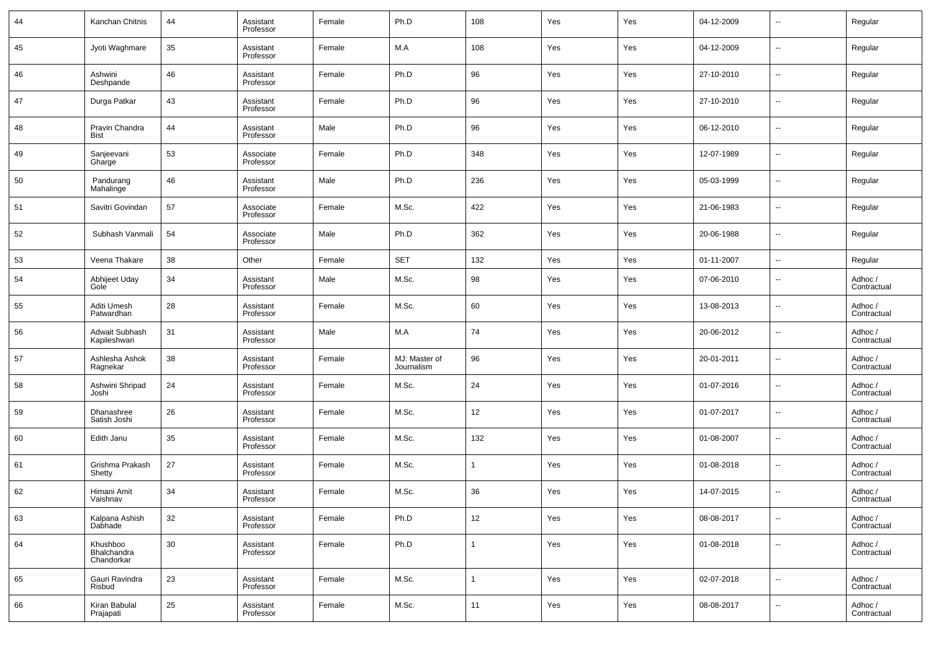| 44 | Kanchan Chitnis                       | 44 | Assistant<br>Professor | Female | Ph.D                        | 108 | Yes | Yes | 04-12-2009 | --     | Regular                |
|----|---------------------------------------|----|------------------------|--------|-----------------------------|-----|-----|-----|------------|--------|------------------------|
| 45 | Jyoti Waghmare                        | 35 | Assistant<br>Professor | Female | M.A                         | 108 | Yes | Yes | 04-12-2009 | --     | Regular                |
| 46 | Ashwini<br>Deshpande                  | 46 | Assistant<br>Professor | Female | Ph.D                        | 96  | Yes | Yes | 27-10-2010 | --     | Regular                |
| 47 | Durga Patkar                          | 43 | Assistant<br>Professor | Female | Ph.D                        | 96  | Yes | Yes | 27-10-2010 | --     | Regular                |
| 48 | Pravin Chandra<br>Bist                | 44 | Assistant<br>Professor | Male   | Ph.D                        | 96  | Yes | Yes | 06-12-2010 | --     | Regular                |
| 49 | Sanjeevani<br>Gharge                  | 53 | Associate<br>Professor | Female | Ph.D                        | 348 | Yes | Yes | 12-07-1989 | --     | Regular                |
| 50 | Pandurang<br>Mahalinge                | 46 | Assistant<br>Professor | Male   | Ph.D                        | 236 | Yes | Yes | 05-03-1999 | --     | Regular                |
| 51 | Savitri Govindan                      | 57 | Associate<br>Professor | Female | M.Sc.                       | 422 | Yes | Yes | 21-06-1983 | --     | Regular                |
| 52 | Subhash Vanmali                       | 54 | Associate<br>Professor | Male   | Ph.D                        | 362 | Yes | Yes | 20-06-1988 | --     | Regular                |
| 53 | Veena Thakare                         | 38 | Other                  | Female | <b>SET</b>                  | 132 | Yes | Yes | 01-11-2007 | н.     | Regular                |
| 54 | Abhijeet Uday<br>Gole                 | 34 | Assistant<br>Professor | Male   | M.Sc.                       | 98  | Yes | Yes | 07-06-2010 | --     | Adhoc /<br>Contractual |
| 55 | Aditi Umesh<br>Patwardhan             | 28 | Assistant<br>Professor | Female | M.Sc.                       | 60  | Yes | Yes | 13-08-2013 | --     | Adhoc /<br>Contractual |
| 56 | Adwait Subhash<br>Kapileshwari        | 31 | Assistant<br>Professor | Male   | M.A                         | 74  | Yes | Yes | 20-06-2012 | --     | Adhoc /<br>Contractual |
| 57 | Ashlesha Ashok<br>Ragnekar            | 38 | Assistant<br>Professor | Female | MJ: Master of<br>Journalism | 96  | Yes | Yes | 20-01-2011 | --     | Adhoc /<br>Contractual |
| 58 | Ashwini Shripad<br>Joshi              | 24 | Assistant<br>Professor | Female | M.Sc.                       | 24  | Yes | Yes | 01-07-2016 | --     | Adhoc /<br>Contractual |
| 59 | Dhanashree<br>Satish Joshi            | 26 | Assistant<br>Professor | Female | M.Sc.                       | 12  | Yes | Yes | 01-07-2017 | --     | Adhoc /<br>Contractual |
| 60 | Edith Janu                            | 35 | Assistant<br>Professor | Female | M.Sc.                       | 132 | Yes | Yes | 01-08-2007 | --     | Adhoc /<br>Contractual |
| 61 | Grishma Prakash<br>Shetty             | 27 | Assistant<br>Professor | Female | M.Sc.                       |     | Yes | Yes | 01-08-2018 | --     | Adhoc /<br>Contractual |
| 62 | Himani Amit<br>Vaishnav               | 34 | Assistant<br>Professor | Female | M.Sc.                       | 36  | Yes | Yes | 14-07-2015 | --     | Adhoc /<br>Contractual |
| 63 | Kalpana Ashish<br>Dabhade             | 32 | Assistant<br>Professor | Female | Ph.D                        | 12  | Yes | Yes | 08-08-2017 | --     | Adhoc /<br>Contractual |
| 64 | Khushboo<br>Bhalchandra<br>Chandorkar | 30 | Assistant<br>Professor | Female | Ph.D                        |     | Yes | Yes | 01-08-2018 | н.     | Adhoc /<br>Contractual |
| 65 | Gauri Ravindra<br>Risbud              | 23 | Assistant<br>Professor | Female | M.Sc.                       |     | Yes | Yes | 02-07-2018 | $\sim$ | Adhoc /<br>Contractual |
| 66 | Kiran Babulal<br>Prajapati            | 25 | Assistant<br>Professor | Female | M.Sc.                       | 11  | Yes | Yes | 08-08-2017 | $\sim$ | Adhoc /<br>Contractual |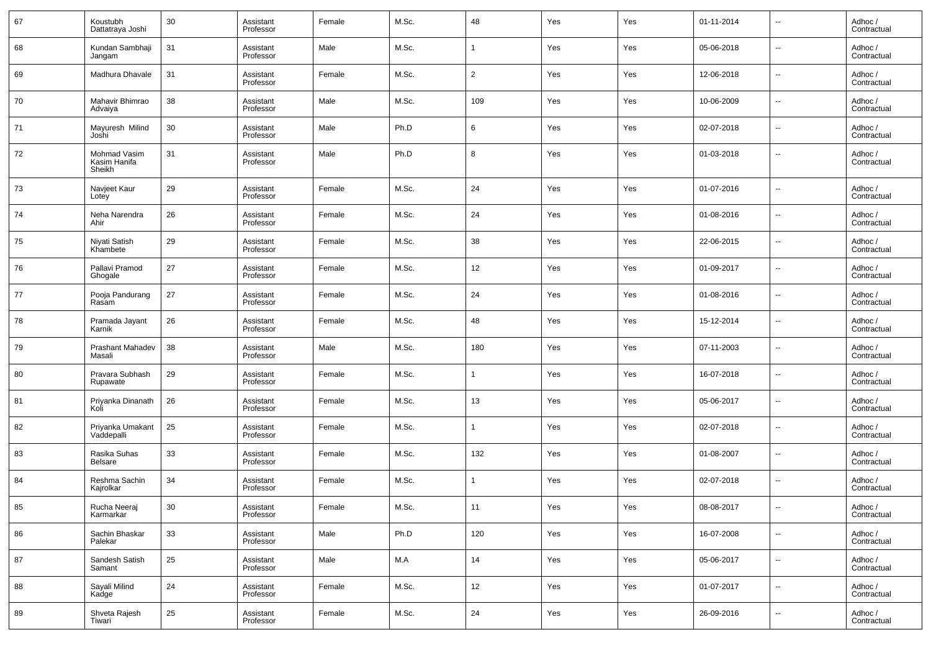| 67 | Koustubh<br>Dattatraya Joshi           | 30 | Assistant<br>Professor | Female | M.Sc. | 48             | Yes | Yes | 01-11-2014 | $\overline{\phantom{a}}$ | Adhoc /<br>Contractual |
|----|----------------------------------------|----|------------------------|--------|-------|----------------|-----|-----|------------|--------------------------|------------------------|
| 68 | Kundan Sambhaji<br>Jangam              | 31 | Assistant<br>Professor | Male   | M.Sc. | 1              | Yes | Yes | 05-06-2018 | $\overline{\phantom{a}}$ | Adhoc /<br>Contractual |
| 69 | Madhura Dhavale                        | 31 | Assistant<br>Professor | Female | M.Sc. | $\overline{2}$ | Yes | Yes | 12-06-2018 | ш.                       | Adhoc /<br>Contractual |
| 70 | Mahavir Bhimrao<br>Advaiya             | 38 | Assistant<br>Professor | Male   | M.Sc. | 109            | Yes | Yes | 10-06-2009 | $\overline{\phantom{a}}$ | Adhoc /<br>Contractual |
| 71 | Mayuresh Milind<br>Joshi               | 30 | Assistant<br>Professor | Male   | Ph.D  | 6              | Yes | Yes | 02-07-2018 | $\overline{\phantom{a}}$ | Adhoc /<br>Contractual |
| 72 | Mohmad Vasim<br>Kasim Hanifa<br>Sheikh | 31 | Assistant<br>Professor | Male   | Ph.D  | 8              | Yes | Yes | 01-03-2018 | $\overline{a}$           | Adhoc /<br>Contractual |
| 73 | Navjeet Kaur<br>Lotey                  | 29 | Assistant<br>Professor | Female | M.Sc. | 24             | Yes | Yes | 01-07-2016 | ш.                       | Adhoc /<br>Contractual |
| 74 | Neha Narendra<br>Ahir                  | 26 | Assistant<br>Professor | Female | M.Sc. | 24             | Yes | Yes | 01-08-2016 | ш.                       | Adhoc /<br>Contractual |
| 75 | Niyati Satish<br>Khambete              | 29 | Assistant<br>Professor | Female | M.Sc. | 38             | Yes | Yes | 22-06-2015 | ш.                       | Adhoc /<br>Contractual |
| 76 | Pallavi Pramod<br>Ghogale              | 27 | Assistant<br>Professor | Female | M.Sc. | 12             | Yes | Yes | 01-09-2017 | ш.                       | Adhoc /<br>Contractual |
| 77 | Pooja Pandurang<br>Rasam               | 27 | Assistant<br>Professor | Female | M.Sc. | 24             | Yes | Yes | 01-08-2016 | ш.                       | Adhoc /<br>Contractual |
| 78 | Pramada Jayant<br>Karnik               | 26 | Assistant<br>Professor | Female | M.Sc. | 48             | Yes | Yes | 15-12-2014 | ш.                       | Adhoc /<br>Contractual |
| 79 | Prashant Mahadev<br>Masali             | 38 | Assistant<br>Professor | Male   | M.Sc. | 180            | Yes | Yes | 07-11-2003 | ш.                       | Adhoc /<br>Contractual |
| 80 | Pravara Subhash<br>Rupawate            | 29 | Assistant<br>Professor | Female | M.Sc. | 1              | Yes | Yes | 16-07-2018 | $\overline{\phantom{a}}$ | Adhoc/<br>Contractual  |
| 81 | Priyanka Dinanath<br>Koli              | 26 | Assistant<br>Professor | Female | M.Sc. | 13             | Yes | Yes | 05-06-2017 | ш.                       | Adhoc /<br>Contractual |
| 82 | Priyanka Umakant<br>Vaddepalli         | 25 | Assistant<br>Professor | Female | M.Sc. | 1              | Yes | Yes | 02-07-2018 | ш.                       | Adhoc /<br>Contractual |
| 83 | Rasika Suhas<br><b>Belsare</b>         | 33 | Assistant<br>Professor | Female | M.Sc. | 132            | Yes | Yes | 01-08-2007 | ш.                       | Adhoc/<br>Contractual  |
| 84 | Reshma Sachin<br>Kajrolkar             | 34 | Assistant<br>Professor | Female | M.Sc. | $\mathbf{1}$   | Yes | Yes | 02-07-2018 | ш,                       | Adhoc /<br>Contractual |
| 85 | Rucha Neeraj<br>Karmarkar              | 30 | Assistant<br>Professor | Female | M.Sc. | 11             | Yes | Yes | 08-08-2017 |                          | Adhoc /<br>Contractual |
| 86 | Sachin Bhaskar<br>Palekar              | 33 | Assistant<br>Professor | Male   | Ph.D  | 120            | Yes | Yes | 16-07-2008 | $\overline{\phantom{a}}$ | Adhoc /<br>Contractual |
| 87 | Sandesh Satish<br>Samant               | 25 | Assistant<br>Professor | Male   | M.A   | 14             | Yes | Yes | 05-06-2017 | ٠.                       | Adhoc /<br>Contractual |
| 88 | Sayali Milind<br>Kadge                 | 24 | Assistant<br>Professor | Female | M.Sc. | 12             | Yes | Yes | 01-07-2017 | $\overline{\phantom{a}}$ | Adhoc /<br>Contractual |
| 89 | Shveta Rajesh<br>Tiwari                | 25 | Assistant<br>Professor | Female | M.Sc. | 24             | Yes | Yes | 26-09-2016 | ٠.                       | Adhoc /<br>Contractual |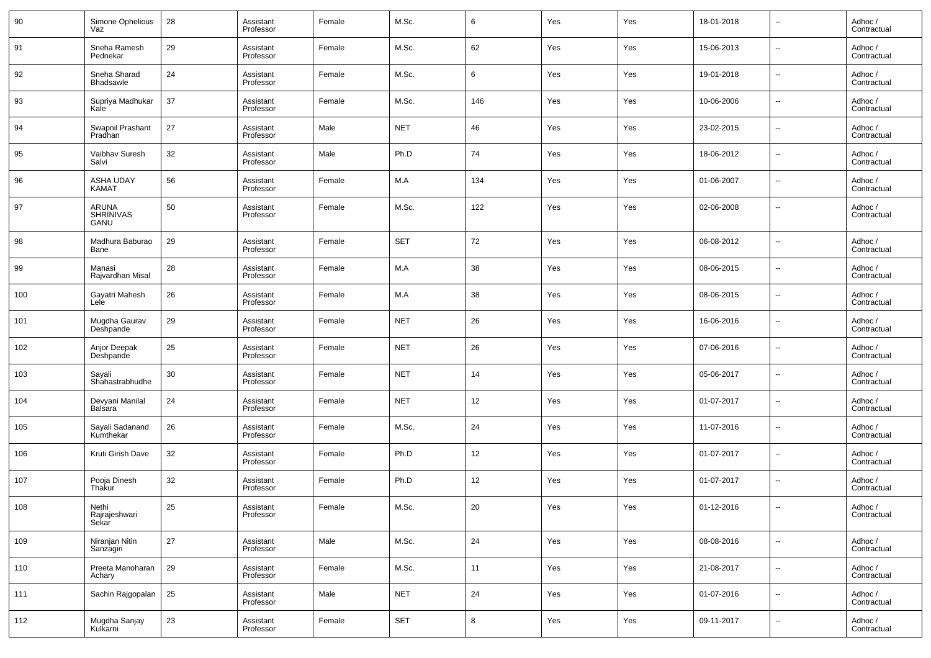| 90  | Simone Ophelious<br>Vaz          | 28     | Assistant<br>Professor | Female | M.Sc.      | 6      | Yes | Yes | 18-01-2018 | $\overline{\phantom{a}}$ | Adhoc /<br>Contractual |
|-----|----------------------------------|--------|------------------------|--------|------------|--------|-----|-----|------------|--------------------------|------------------------|
| 91  | Sneha Ramesh<br>Pednekar         | 29     | Assistant<br>Professor | Female | M.Sc.      | 62     | Yes | Yes | 15-06-2013 | $\overline{\phantom{a}}$ | Adhoc /<br>Contractual |
| 92  | Sneha Sharad<br><b>Bhadsawle</b> | 24     | Assistant<br>Professor | Female | M.Sc.      | 6      | Yes | Yes | 19-01-2018 | $\overline{\phantom{a}}$ | Adhoc /<br>Contractual |
| 93  | Supriya Madhukar<br>Kale         | 37     | Assistant<br>Professor | Female | M.Sc.      | 146    | Yes | Yes | 10-06-2006 | $\overline{\phantom{a}}$ | Adhoc /<br>Contractual |
| 94  | Swapnil Prashant<br>Pradhan      | 27     | Assistant<br>Professor | Male   | <b>NET</b> | 46     | Yes | Yes | 23-02-2015 | $\overline{\phantom{a}}$ | Adhoc /<br>Contractual |
| 95  | Vaibhav Suresh<br>Salvi          | 32     | Assistant<br>Professor | Male   | Ph.D       | 74     | Yes | Yes | 18-06-2012 | $\overline{\phantom{a}}$ | Adhoc /<br>Contractual |
| 96  | ASHA UDAY<br>KAMAT               | 56     | Assistant<br>Professor | Female | M.A        | 134    | Yes | Yes | 01-06-2007 | $\overline{\phantom{a}}$ | Adhoc /<br>Contractual |
| 97  | ARUNA<br>SHRINIVAS<br>GANU       | 50     | Assistant<br>Professor | Female | M.Sc.      | 122    | Yes | Yes | 02-06-2008 | ш,                       | Adhoc /<br>Contractual |
| 98  | Madhura Baburao<br>Bane          | 29     | Assistant<br>Professor | Female | <b>SET</b> | 72     | Yes | Yes | 06-08-2012 | ш,                       | Adhoc /<br>Contractual |
| 99  | Manasi<br>Rajvardhan Misal       | 28     | Assistant<br>Professor | Female | M.A        | 38     | Yes | Yes | 08-06-2015 | $\overline{a}$           | Adhoc /<br>Contractual |
| 100 | Gayatri Mahesh<br>Lele           | 26     | Assistant<br>Professor | Female | M.A        | 38     | Yes | Yes | 08-06-2015 | $\overline{\phantom{a}}$ | Adhoc /<br>Contractual |
| 101 | Mugdha Gaurav<br>Deshpande       | 29     | Assistant<br>Professor | Female | <b>NET</b> | 26     | Yes | Yes | 16-06-2016 | $\overline{\phantom{a}}$ | Adhoc /<br>Contractual |
| 102 | Anjor Deepak<br>Deshpande        | 25     | Assistant<br>Professor | Female | <b>NET</b> | 26     | Yes | Yes | 07-06-2016 | ш,                       | Adhoc /<br>Contractual |
| 103 | Sayali<br>Shahastrabhudhe        | 30     | Assistant<br>Professor | Female | <b>NET</b> | 14     | Yes | Yes | 05-06-2017 | ш,                       | Adhoc /<br>Contractual |
| 104 | Devyani Manilal<br>Balsara       | 24     | Assistant<br>Professor | Female | <b>NET</b> | 12     | Yes | Yes | 01-07-2017 | ш,                       | Adhoc /<br>Contractual |
| 105 | Sayali Sadanand<br>Kumthekar     | 26     | Assistant<br>Professor | Female | M.Sc.      | 24     | Yes | Yes | 11-07-2016 | ш,                       | Adhoc /<br>Contractual |
| 106 | Kruti Girish Dave                | 32     | Assistant<br>Professor | Female | Ph.D       | 12     | Yes | Yes | 01-07-2017 | ш,                       | Adhoc /<br>Contractual |
| 107 | Pooja Dinesh<br>Thakur           | 32     | Assistant<br>Professor | Female | Ph.D       | 12     | Yes | Yes | 01-07-2017 | ш,                       | Adhoc /<br>Contractual |
| 108 | Nethi<br>Rajrajeshwari<br>Sekar  | $25\,$ | Assistant<br>Professor | Female | M.Sc.      | $20\,$ | Yes | Yes | 01-12-2016 |                          | Adhoc /<br>Contractual |
| 109 | Niranjan Nitin<br>Sanzagiri      | 27     | Assistant<br>Professor | Male   | M.Sc.      | 24     | Yes | Yes | 08-08-2016 | $\overline{\phantom{a}}$ | Adhoc /<br>Contractual |
| 110 | Preeta Manoharan<br>Achary       | 29     | Assistant<br>Professor | Female | M.Sc.      | 11     | Yes | Yes | 21-08-2017 | $\overline{\phantom{a}}$ | Adhoc /<br>Contractual |
| 111 | Sachin Rajgopalan                | 25     | Assistant<br>Professor | Male   | <b>NET</b> | 24     | Yes | Yes | 01-07-2016 | ш,                       | Adhoc /<br>Contractual |
| 112 | Mugdha Sanjay<br>Kulkarni        | 23     | Assistant<br>Professor | Female | SET        | $\bf8$ | Yes | Yes | 09-11-2017 | н.                       | Adhoc /<br>Contractual |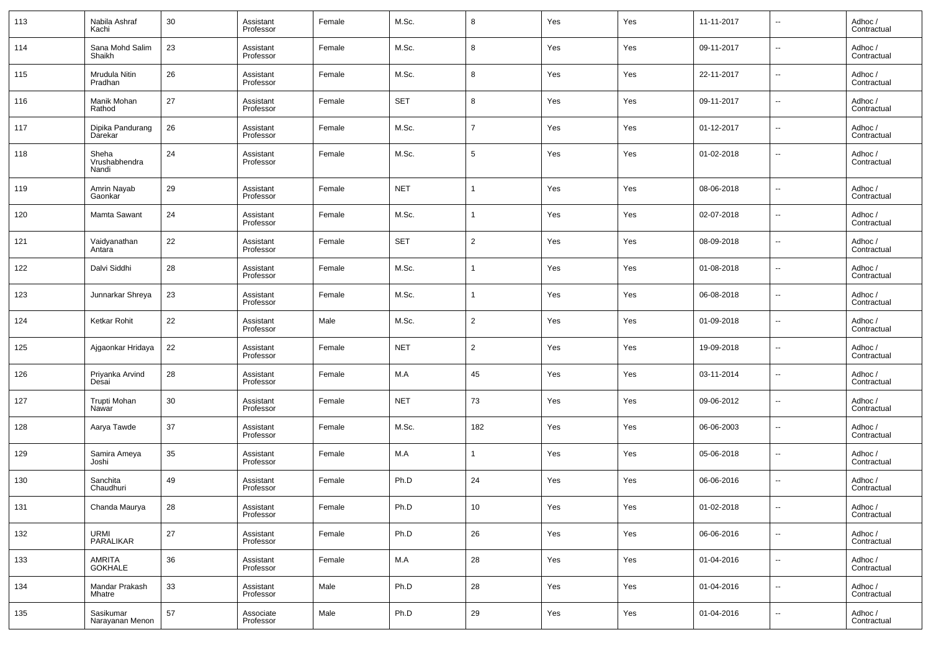| 113 | Nabila Ashraf<br>Kachi          | 30 | Assistant<br>Professor | Female | M.Sc.      | 8               | Yes | Yes | 11-11-2017 | --                       | Adhoc /<br>Contractual |
|-----|---------------------------------|----|------------------------|--------|------------|-----------------|-----|-----|------------|--------------------------|------------------------|
| 114 | Sana Mohd Salim<br>Shaikh       | 23 | Assistant<br>Professor | Female | M.Sc.      | 8               | Yes | Yes | 09-11-2017 | $\overline{\phantom{a}}$ | Adhoc /<br>Contractual |
| 115 | Mrudula Nitin<br>Pradhan        | 26 | Assistant<br>Professor | Female | M.Sc.      | 8               | Yes | Yes | 22-11-2017 | ÷.                       | Adhoc /<br>Contractual |
| 116 | Manik Mohan<br>Rathod           | 27 | Assistant<br>Professor | Female | <b>SET</b> | 8               | Yes | Yes | 09-11-2017 | --                       | Adhoc /<br>Contractual |
| 117 | Dipika Pandurang<br>Darekar     | 26 | Assistant<br>Professor | Female | M.Sc.      | $\overline{7}$  | Yes | Yes | 01-12-2017 | $\overline{\phantom{a}}$ | Adhoc /<br>Contractual |
| 118 | Sheha<br>Vrushabhendra<br>Nandi | 24 | Assistant<br>Professor | Female | M.Sc.      | $5\phantom{.0}$ | Yes | Yes | 01-02-2018 | $\overline{\phantom{a}}$ | Adhoc /<br>Contractual |
| 119 | Amrin Nayab<br>Gaonkar          | 29 | Assistant<br>Professor | Female | <b>NET</b> | 1               | Yes | Yes | 08-06-2018 | Ξ.                       | Adhoc /<br>Contractual |
| 120 | Mamta Sawant                    | 24 | Assistant<br>Professor | Female | M.Sc.      | 1               | Yes | Yes | 02-07-2018 | Ξ.                       | Adhoc /<br>Contractual |
| 121 | Vaidyanathan<br>Antara          | 22 | Assistant<br>Professor | Female | <b>SET</b> | $\overline{2}$  | Yes | Yes | 08-09-2018 | Ξ.                       | Adhoc /<br>Contractual |
| 122 | Dalvi Siddhi                    | 28 | Assistant<br>Professor | Female | M.Sc.      | 1               | Yes | Yes | 01-08-2018 | Ξ.                       | Adhoc /<br>Contractual |
| 123 | Junnarkar Shreya                | 23 | Assistant<br>Professor | Female | M.Sc.      | 1               | Yes | Yes | 06-08-2018 | Ξ.                       | Adhoc /<br>Contractual |
| 124 | Ketkar Rohit                    | 22 | Assistant<br>Professor | Male   | M.Sc.      | $\overline{2}$  | Yes | Yes | 01-09-2018 | Ξ.                       | Adhoc /<br>Contractual |
| 125 | Ajgaonkar Hridaya               | 22 | Assistant<br>Professor | Female | <b>NET</b> | $\overline{2}$  | Yes | Yes | 19-09-2018 | ÷.                       | Adhoc /<br>Contractual |
| 126 | Priyanka Arvind<br>Desai        | 28 | Assistant<br>Professor | Female | M.A        | 45              | Yes | Yes | 03-11-2014 | ÷.                       | Adhoc /<br>Contractual |
| 127 | Trupti Mohan<br>Nawar           | 30 | Assistant<br>Professor | Female | <b>NET</b> | 73              | Yes | Yes | 09-06-2012 | Ξ.                       | Adhoc /<br>Contractual |
| 128 | Aarya Tawde                     | 37 | Assistant<br>Professor | Female | M.Sc.      | 182             | Yes | Yes | 06-06-2003 | ÷.                       | Adhoc /<br>Contractual |
| 129 | Samira Ameya<br>Joshi           | 35 | Assistant<br>Professor | Female | M.A        | 1               | Yes | Yes | 05-06-2018 | Ξ.                       | Adhoc /<br>Contractual |
| 130 | Sanchita<br>Chaudhuri           | 49 | Assistant<br>Professor | Female | Ph.D       | 24              | Yes | Yes | 06-06-2016 | Ξ.                       | Adhoc /<br>Contractual |
| 131 | Chanda Maurya                   | 28 | Assistant<br>Professor | Female | Ph.D       | 10 <sup>°</sup> | Yes | Yes | 01-02-2018 | --                       | Adhoc /<br>Contractual |
| 132 | URMI<br>PARALIKAR               | 27 | Assistant<br>Professor | Female | Ph.D       | 26              | Yes | Yes | 06-06-2016 | щ.                       | Adhoc /<br>Contractual |
| 133 | AMRITA<br>GOKHALE               | 36 | Assistant<br>Professor | Female | M.A        | 28              | Yes | Yes | 01-04-2016 | $\sim$                   | Adhoc /<br>Contractual |
| 134 | Mandar Prakash<br>Mhatre        | 33 | Assistant<br>Professor | Male   | Ph.D       | 28              | Yes | Yes | 01-04-2016 | $\sim$                   | Adhoc /<br>Contractual |
| 135 | Sasikumar<br>Narayanan Menon    | 57 | Associate<br>Professor | Male   | Ph.D       | 29              | Yes | Yes | 01-04-2016 | Ξ.                       | Adhoc /<br>Contractual |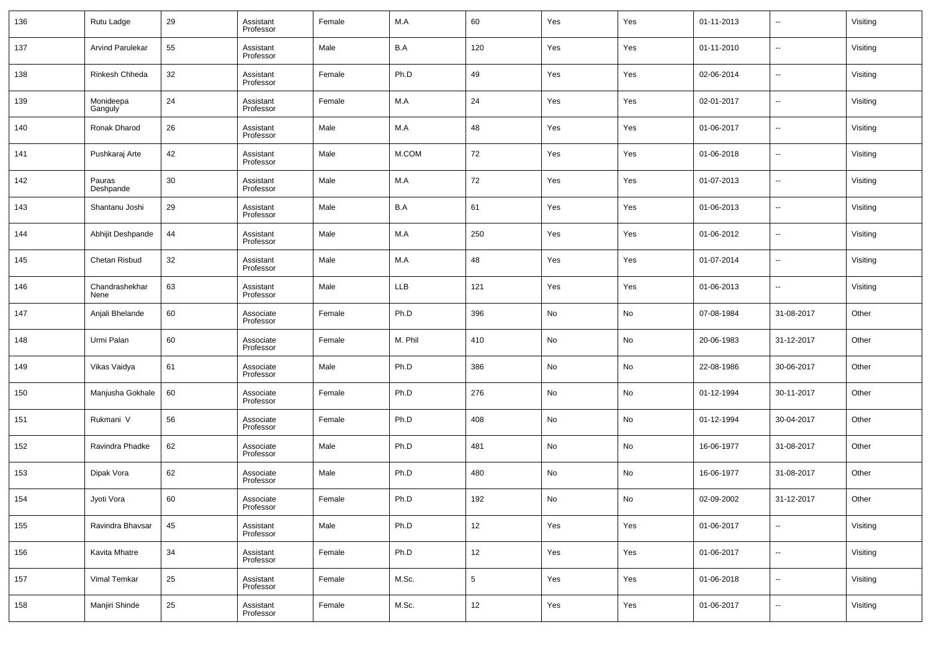| 136 | Rutu Ladge             | 29 | Assistant<br>Professor | Female | M.A        | 60         | Yes | Yes | 01-11-2013 | --         | Visiting |
|-----|------------------------|----|------------------------|--------|------------|------------|-----|-----|------------|------------|----------|
| 137 | Arvind Parulekar       | 55 | Assistant<br>Professor | Male   | B.A        | 120        | Yes | Yes | 01-11-2010 | --         | Visiting |
| 138 | Rinkesh Chheda         | 32 | Assistant<br>Professor | Female | Ph.D       | 49         | Yes | Yes | 02-06-2014 | --         | Visiting |
| 139 | Monideepa<br>Ganguly   | 24 | Assistant<br>Professor | Female | M.A        | 24         | Yes | Yes | 02-01-2017 | --         | Visiting |
| 140 | Ronak Dharod           | 26 | Assistant<br>Professor | Male   | M.A        | 48         | Yes | Yes | 01-06-2017 | --         | Visiting |
| 141 | Pushkaraj Arte         | 42 | Assistant<br>Professor | Male   | M.COM      | 72         | Yes | Yes | 01-06-2018 | --         | Visiting |
| 142 | Pauras<br>Deshpande    | 30 | Assistant<br>Professor | Male   | M.A        | 72         | Yes | Yes | 01-07-2013 | --         | Visiting |
| 143 | Shantanu Joshi         | 29 | Assistant<br>Professor | Male   | B.A        | 61         | Yes | Yes | 01-06-2013 | --         | Visiting |
| 144 | Abhijit Deshpande      | 44 | Assistant<br>Professor | Male   | M.A        | 250        | Yes | Yes | 01-06-2012 | --         | Visiting |
| 145 | Chetan Risbud          | 32 | Assistant<br>Professor | Male   | M.A        | 48         | Yes | Yes | 01-07-2014 | --         | Visiting |
| 146 | Chandrashekhar<br>Nene | 63 | Assistant<br>Professor | Male   | <b>LLB</b> | 121        | Yes | Yes | 01-06-2013 | --         | Visiting |
| 147 | Anjali Bhelande        | 60 | Associate<br>Professor | Female | Ph.D       | 396        | No  | No  | 07-08-1984 | 31-08-2017 | Other    |
| 148 | Urmi Palan             | 60 | Associate<br>Professor | Female | M. Phil    | 410        | No  | No  | 20-06-1983 | 31-12-2017 | Other    |
| 149 | Vikas Vaidya           | 61 | Associate<br>Professor | Male   | Ph.D       | 386        | No  | No  | 22-08-1986 | 30-06-2017 | Other    |
| 150 | Manjusha Gokhale       | 60 | Associate<br>Professor | Female | Ph.D       | 276        | No  | No  | 01-12-1994 | 30-11-2017 | Other    |
| 151 | Rukmani V              | 56 | Associate<br>Professor | Female | Ph.D       | 408        | No  | No  | 01-12-1994 | 30-04-2017 | Other    |
| 152 | Ravindra Phadke        | 62 | Associate<br>Professor | Male   | Ph.D       | 481        | No  | No  | 16-06-1977 | 31-08-2017 | Other    |
| 153 | Dipak Vora             | 62 | Associate<br>Professor | Male   | Ph.D       | 480        | No  | No  | 16-06-1977 | 31-08-2017 | Other    |
| 154 | Jyoti Vora             | 60 | Associate<br>Professor | Female | Ph.D       | 192        | No  | No  | 02-09-2002 | 31-12-2017 | Other    |
| 155 | Ravindra Bhavsar       | 45 | Assistant<br>Professor | Male   | Ph.D       | 12         | Yes | Yes | 01-06-2017 | $\sim$     | Visiting |
| 156 | Kavita Mhatre          | 34 | Assistant<br>Professor | Female | Ph.D       | 12         | Yes | Yes | 01-06-2017 | $\sim$     | Visiting |
| 157 | Vimal Temkar           | 25 | Assistant<br>Professor | Female | M.Sc.      | $\sqrt{5}$ | Yes | Yes | 01-06-2018 | $\sim$     | Visiting |
| 158 | Manjiri Shinde         | 25 | Assistant<br>Professor | Female | M.Sc.      | 12         | Yes | Yes | 01-06-2017 | $\sim$     | Visiting |